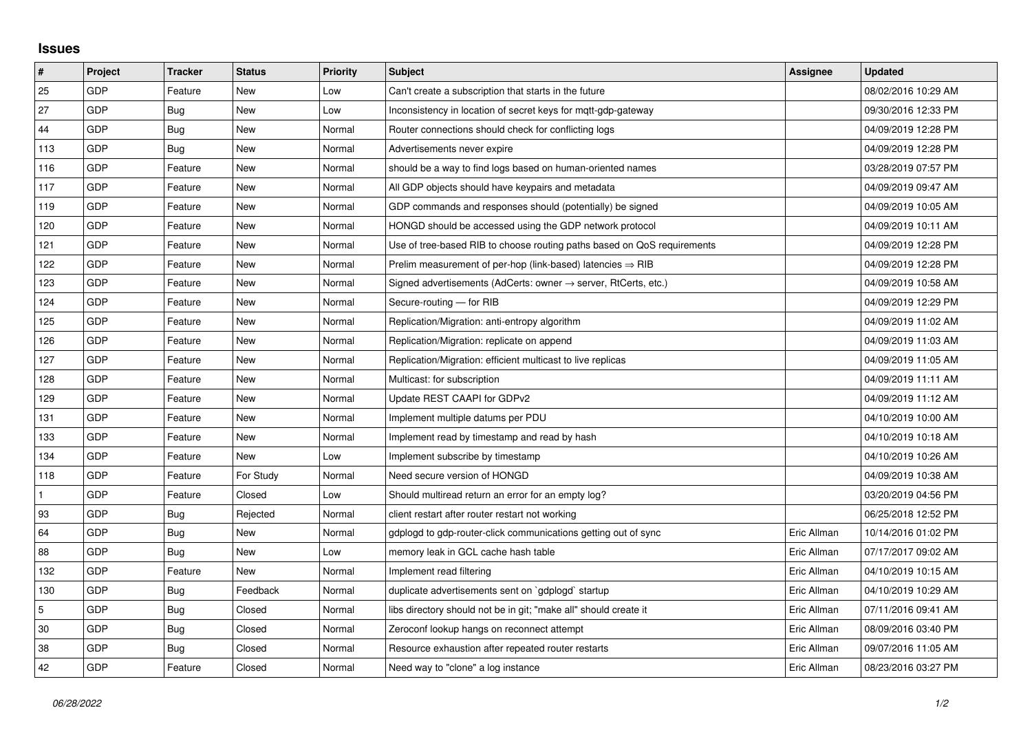## **Issues**

| #   | Project | <b>Tracker</b> | <b>Status</b> | <b>Priority</b> | <b>Subject</b>                                                             | Assignee    | <b>Updated</b>      |
|-----|---------|----------------|---------------|-----------------|----------------------------------------------------------------------------|-------------|---------------------|
| 25  | GDP     | Feature        | <b>New</b>    | Low             | Can't create a subscription that starts in the future                      |             | 08/02/2016 10:29 AM |
| 27  | GDP     | Bug            | <b>New</b>    | Low             | Inconsistency in location of secret keys for mqtt-gdp-gateway              |             | 09/30/2016 12:33 PM |
| 44  | GDP     | Bug            | New           | Normal          | Router connections should check for conflicting logs                       |             | 04/09/2019 12:28 PM |
| 113 | GDP     | Bug            | <b>New</b>    | Normal          | Advertisements never expire                                                |             | 04/09/2019 12:28 PM |
| 116 | GDP     | Feature        | <b>New</b>    | Normal          | should be a way to find logs based on human-oriented names                 |             | 03/28/2019 07:57 PM |
| 117 | GDP     | Feature        | New           | Normal          | All GDP objects should have keypairs and metadata                          |             | 04/09/2019 09:47 AM |
| 119 | GDP     | Feature        | <b>New</b>    | Normal          | GDP commands and responses should (potentially) be signed                  |             | 04/09/2019 10:05 AM |
| 120 | GDP     | Feature        | <b>New</b>    | Normal          | HONGD should be accessed using the GDP network protocol                    |             | 04/09/2019 10:11 AM |
| 121 | GDP     | Feature        | New           | Normal          | Use of tree-based RIB to choose routing paths based on QoS requirements    |             | 04/09/2019 12:28 PM |
| 122 | GDP     | Feature        | <b>New</b>    | Normal          | Prelim measurement of per-hop (link-based) latencies $\Rightarrow$ RIB     |             | 04/09/2019 12:28 PM |
| 123 | GDP     | Feature        | <b>New</b>    | Normal          | Signed advertisements (AdCerts: owner $\rightarrow$ server, RtCerts, etc.) |             | 04/09/2019 10:58 AM |
| 124 | GDP     | Feature        | New           | Normal          | Secure-routing - for RIB                                                   |             | 04/09/2019 12:29 PM |
| 125 | GDP     | Feature        | <b>New</b>    | Normal          | Replication/Migration: anti-entropy algorithm                              |             | 04/09/2019 11:02 AM |
| 126 | GDP     | Feature        | New           | Normal          | Replication/Migration: replicate on append                                 |             | 04/09/2019 11:03 AM |
| 127 | GDP     | Feature        | <b>New</b>    | Normal          | Replication/Migration: efficient multicast to live replicas                |             | 04/09/2019 11:05 AM |
| 128 | GDP     | Feature        | <b>New</b>    | Normal          | Multicast: for subscription                                                |             | 04/09/2019 11:11 AM |
| 129 | GDP     | Feature        | New           | Normal          | Update REST CAAPI for GDPv2                                                |             | 04/09/2019 11:12 AM |
| 131 | GDP     | Feature        | <b>New</b>    | Normal          | Implement multiple datums per PDU                                          |             | 04/10/2019 10:00 AM |
| 133 | GDP     | Feature        | <b>New</b>    | Normal          | Implement read by timestamp and read by hash                               |             | 04/10/2019 10:18 AM |
| 134 | GDP     | Feature        | New           | Low             | Implement subscribe by timestamp                                           |             | 04/10/2019 10:26 AM |
| 118 | GDP     | Feature        | For Study     | Normal          | Need secure version of HONGD                                               |             | 04/09/2019 10:38 AM |
|     | GDP     | Feature        | Closed        | Low             | Should multiread return an error for an empty log?                         |             | 03/20/2019 04:56 PM |
| 93  | GDP     | Bug            | Rejected      | Normal          | client restart after router restart not working                            |             | 06/25/2018 12:52 PM |
| 64  | GDP     | Bug            | New           | Normal          | gdplogd to gdp-router-click communications getting out of sync             | Eric Allman | 10/14/2016 01:02 PM |
| 88  | GDP     | Bug            | New           | Low             | memory leak in GCL cache hash table                                        | Eric Allman | 07/17/2017 09:02 AM |
| 132 | GDP     | Feature        | New           | Normal          | Implement read filtering                                                   | Eric Allman | 04/10/2019 10:15 AM |
| 130 | GDP     | Bug            | Feedback      | Normal          | duplicate advertisements sent on `gdplogd` startup                         | Eric Allman | 04/10/2019 10:29 AM |
| 5   | GDP     | Bug            | Closed        | Normal          | libs directory should not be in git; "make all" should create it           | Eric Allman | 07/11/2016 09:41 AM |
| 30  | GDP     | Bug            | Closed        | Normal          | Zeroconf lookup hangs on reconnect attempt                                 | Eric Allman | 08/09/2016 03:40 PM |
| 38  | GDP     | Bug            | Closed        | Normal          | Resource exhaustion after repeated router restarts                         | Eric Allman | 09/07/2016 11:05 AM |
| 42  | GDP     | Feature        | Closed        | Normal          | Need way to "clone" a log instance                                         | Eric Allman | 08/23/2016 03:27 PM |